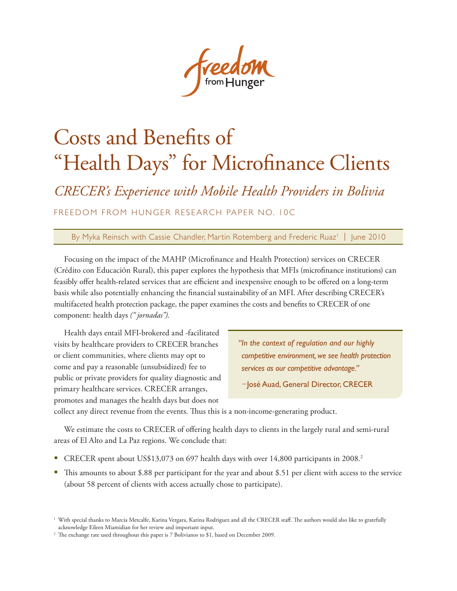# Costs and Benefits of "Health Days" for Microfinance Clients

*CRECER's Experience with Mobile Health Providers in Bolivia*

FREEDOM FROM HUNGER RESEARCH PAPER NO. 10C

By Myka Reinsch with Cassie Chandler, Martin Rotemberg and Frederic Ruaz<sup>1</sup> | June 2010

Focusing on the impact of the MAHP (Microfinance and Health Protection) services on CRECER (Crédito con Educación Rural), this paper explores the hypothesis that MFIs (microfinance institutions) can feasibly offer health-related services that are efficient and inexpensive enough to be offered on a long-term basis while also potentially enhancing the financial sustainability of an MFI. After describing CRECER's multifaceted health protection package, the paper examines the costs and benefits to CRECER of one component: health days *(" jornadas")*.

Health days entail MFI-brokered and -facilitated visits by healthcare providers to CRECER branches or client communities, where clients may opt to come and pay a reasonable (unsubsidized) fee to public or private providers for quality diagnostic and primary healthcare services. CRECER arranges, promotes and manages the health days but does not

*"In the context of regulation and our highly competitive environment, we see health protection services as our competitive advantage."* 

−José Auad, General Director, CRECER

collect any direct revenue from the events. Thus this is a non-income-generating product.

We estimate the costs to CRECER of offering health days to clients in the largely rural and semi-rural areas of El Alto and La Paz regions. We conclude that:

- CRECER spent about US\$13,073 on 697 health days with over 14,800 participants in 2008.<sup>2</sup>
- This amounts to about \$.88 per participant for the year and about \$.51 per client with access to the service (about 58 percent of clients with access actually chose to participate).

<sup>&</sup>lt;sup>1</sup> With special thanks to Marcia Metcalfe, Karina Vergara, Karina Rodriguez and all the CRECER staff. The authors would also like to gratefully acknowledge Eileen Miamidian for her review and important input.

<sup>&</sup>lt;sup>2</sup> The exchange rate used throughout this paper is 7 Bolivianos to \$1, based on December 2009.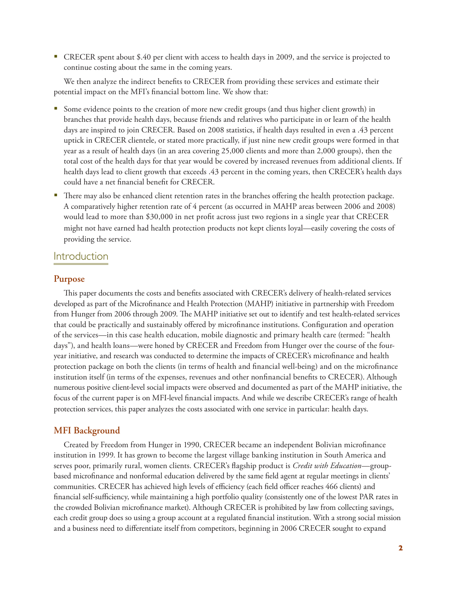CRECER spent about \$.40 per client with access to health days in 2009, and the service is projected to continue costing about the same in the coming years.

We then analyze the indirect benefits to CRECER from providing these services and estimate their potential impact on the MFI's financial bottom line. We show that:

- Some evidence points to the creation of more new credit groups (and thus higher client growth) in branches that provide health days, because friends and relatives who participate in or learn of the health days are inspired to join CRECER. Based on 2008 statistics, if health days resulted in even a .43 percent uptick in CRECER clientele, or stated more practically, if just nine new credit groups were formed in that year as a result of health days (in an area covering 25,000 clients and more than 2,000 groups), then the total cost of the health days for that year would be covered by increased revenues from additional clients. If health days lead to client growth that exceeds .43 percent in the coming years, then CRECER's health days could have a net financial benefit for CRECER.
- There may also be enhanced client retention rates in the branches offering the health protection package. A comparatively higher retention rate of 4 percent (as occurred in MAHP areas between 2006 and 2008) would lead to more than \$30,000 in net profit across just two regions in a single year that CRECER might not have earned had health protection products not kept clients loyal—easily covering the costs of providing the service.

## Introduction

## **Purpose**

This paper documents the costs and benefits associated with CRECER's delivery of health-related services developed as part of the Microfinance and Health Protection (MAHP) initiative in partnership with Freedom from Hunger from 2006 through 2009. The MAHP initiative set out to identify and test health-related services that could be practically and sustainably offered by microfinance institutions. Configuration and operation of the services—in this case health education, mobile diagnostic and primary health care (termed: "health days"), and health loans—were honed by CRECER and Freedom from Hunger over the course of the fouryear initiative, and research was conducted to determine the impacts of CRECER's microfinance and health protection package on both the clients (in terms of health and financial well-being) and on the microfinance institution itself (in terms of the expenses, revenues and other nonfinancial benefits to CRECER). Although numerous positive client-level social impacts were observed and documented as part of the MAHP initiative, the focus of the current paper is on MFI-level financial impacts. And while we describe CRECER's range of health protection services, this paper analyzes the costs associated with one service in particular: health days.

## **MFI Background**

Created by Freedom from Hunger in 1990, CRECER became an independent Bolivian microfinance institution in 1999. It has grown to become the largest village banking institution in South America and serves poor, primarily rural, women clients. CRECER's flagship product is *Credit with Education*—groupbased microfinance and nonformal education delivered by the same field agent at regular meetings in clients' communities. CRECER has achieved high levels of efficiency (each field officer reaches 466 clients) and financial self-sufficiency, while maintaining a high portfolio quality (consistently one of the lowest PAR rates in the crowded Bolivian microfinance market). Although CRECER is prohibited by law from collecting savings, each credit group does so using a group account at a regulated financial institution. With a strong social mission and a business need to differentiate itself from competitors, beginning in 2006 CRECER sought to expand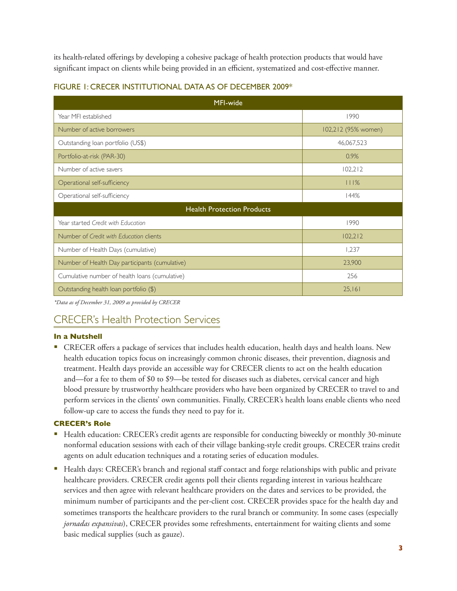its health-related offerings by developing a cohesive package of health protection products that would have significant impact on clients while being provided in an efficient, systematized and cost-effective manner.

| MFI-wide                                       |                     |  |  |  |  |  |
|------------------------------------------------|---------------------|--|--|--|--|--|
| Year MFI established                           | 1990                |  |  |  |  |  |
| Number of active borrowers                     | 102,212 (95% women) |  |  |  |  |  |
| Outstanding loan portfolio (US\$)              | 46,067,523          |  |  |  |  |  |
| Portfolio-at-risk (PAR-30)                     | 0.9%                |  |  |  |  |  |
| Number of active savers                        | 102,212             |  |  |  |  |  |
| Operational self-sufficiency                   | 111%                |  |  |  |  |  |
| Operational self-sufficiency                   | 144%                |  |  |  |  |  |
| <b>Health Protection Products</b>              |                     |  |  |  |  |  |
| Year started Credit with Education             | 1990                |  |  |  |  |  |
| Number of Credit with Education clients        | 102,212             |  |  |  |  |  |
| Number of Health Days (cumulative)             | 1,237               |  |  |  |  |  |
| Number of Health Day participants (cumulative) | 23,900              |  |  |  |  |  |
| Cumulative number of health loans (cumulative) | 256                 |  |  |  |  |  |
| Outstanding health loan portfolio (\$)         | 25,161              |  |  |  |  |  |

## FIGURE 1: CRECER INSTITUTIONAL DATA AS OF DECEMBER 2009\*

*\*Data as of December 31, 2009 as provided by CRECER*

# CRECER's Health Protection Services

## **In a Nutshell**

 CRECER offers a package of services that includes health education, health days and health loans. New health education topics focus on increasingly common chronic diseases, their prevention, diagnosis and treatment. Health days provide an accessible way for CRECER clients to act on the health education and—for a fee to them of \$0 to \$9—be tested for diseases such as diabetes, cervical cancer and high blood pressure by trustworthy healthcare providers who have been organized by CRECER to travel to and perform services in the clients' own communities. Finally, CRECER's health loans enable clients who need follow-up care to access the funds they need to pay for it.

## **CRECER's Role**

- Health education: CRECER's credit agents are responsible for conducting biweekly or monthly 30-minute nonformal education sessions with each of their village banking-style credit groups. CRECER trains credit agents on adult education techniques and a rotating series of education modules.
- Health days: CRECER's branch and regional staff contact and forge relationships with public and private healthcare providers. CRECER credit agents poll their clients regarding interest in various healthcare services and then agree with relevant healthcare providers on the dates and services to be provided, the minimum number of participants and the per-client cost. CRECER provides space for the health day and sometimes transports the healthcare providers to the rural branch or community. In some cases (especially *jornadas expansivas*), CRECER provides some refreshments, entertainment for waiting clients and some basic medical supplies (such as gauze).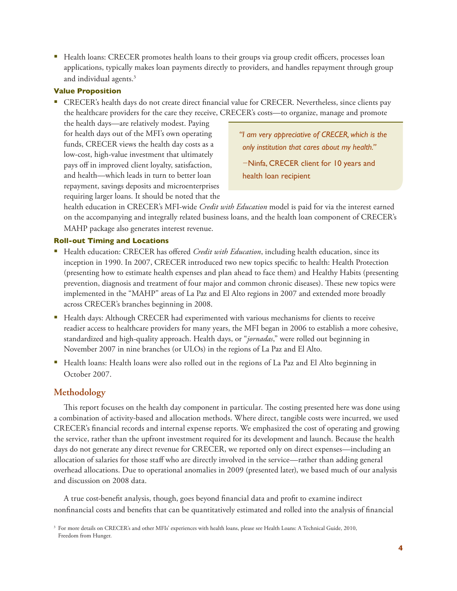Health loans: CRECER promotes health loans to their groups via group credit officers, processes loan applications, typically makes loan payments directly to providers, and handles repayment through group and individual agents.<sup>3</sup>

#### **Value Proposition**

 CRECER's health days do not create direct financial value for CRECER. Nevertheless, since clients pay the healthcare providers for the care they receive, CRECER's costs—to organize, manage and promote

the health days—are relatively modest. Paying for health days out of the MFI's own operating funds, CRECER views the health day costs as a low-cost, high-value investment that ultimately pays off in improved client loyalty, satisfaction, and health—which leads in turn to better loan repayment, savings deposits and microenterprises requiring larger loans. It should be noted that the

*"I am very appreciative of CRECER, which is the only institution that cares about my health."*  −Ninfa, CRECER client for 10 years and

health loan recipient

health education in CRECER's MFI-wide *Credit with Education* model is paid for via the interest earned on the accompanying and integrally related business loans, and the health loan component of CRECER's MAHP package also generates interest revenue.

## **Roll-out Timing and Locations**

- Health education: CRECER has offered *Credit with Education*, including health education, since its inception in 1990. In 2007, CRECER introduced two new topics specific to health: Health Protection (presenting how to estimate health expenses and plan ahead to face them) and Healthy Habits (presenting prevention, diagnosis and treatment of four major and common chronic diseases). These new topics were implemented in the "MAHP" areas of La Paz and El Alto regions in 2007 and extended more broadly across CRECER's branches beginning in 2008.
- **Health days: Although CRECER had experimented with various mechanisms for clients to receive** readier access to healthcare providers for many years, the MFI began in 2006 to establish a more cohesive, standardized and high-quality approach. Health days, or "*jornadas*," were rolled out beginning in November 2007 in nine branches (or ULOs) in the regions of La Paz and El Alto.
- Health loans: Health loans were also rolled out in the regions of La Paz and El Alto beginning in October 2007.

## **Methodology**

This report focuses on the health day component in particular. The costing presented here was done using a combination of activity-based and allocation methods. Where direct, tangible costs were incurred, we used CRECER's financial records and internal expense reports. We emphasized the cost of operating and growing the service, rather than the upfront investment required for its development and launch. Because the health days do not generate any direct revenue for CRECER, we reported only on direct expenses—including an allocation of salaries for those staff who are directly involved in the service—rather than adding general overhead allocations. Due to operational anomalies in 2009 (presented later), we based much of our analysis and discussion on 2008 data.

A true cost-benefit analysis, though, goes beyond financial data and profit to examine indirect nonfinancial costs and benefits that can be quantitatively estimated and rolled into the analysis of financial

<sup>&</sup>lt;sup>3</sup> For more details on CRECER's and other MFIs' experiences with health loans, please see Health Loans: A Technical Guide, 2010, Freedom from Hunger.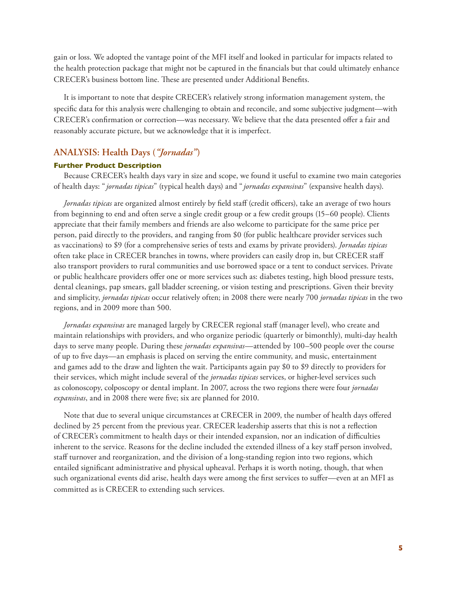gain or loss. We adopted the vantage point of the MFI itself and looked in particular for impacts related to the health protection package that might not be captured in the financials but that could ultimately enhance CRECER's business bottom line. These are presented under Additional Benefits.

It is important to note that despite CRECER's relatively strong information management system, the specific data for this analysis were challenging to obtain and reconcile, and some subjective judgment—with CRECER's confirmation or correction—was necessary. We believe that the data presented offer a fair and reasonably accurate picture, but we acknowledge that it is imperfect.

## **ANALYSIS: Health Days (***"Jornadas"***)**

#### **Further Product Description**

Because CRECER's health days vary in size and scope, we found it useful to examine two main categories of health days: " *jornadas tipicas*" (typical health days) and " *jornadas expansivas*" (expansive health days).

*Jornadas tipicas* are organized almost entirely by field staff (credit officers), take an average of two hours from beginning to end and often serve a single credit group or a few credit groups (15–60 people). Clients appreciate that their family members and friends are also welcome to participate for the same price per person, paid directly to the providers, and ranging from \$0 (for public healthcare provider services such as vaccinations) to \$9 (for a comprehensive series of tests and exams by private providers). *Jornadas tipicas* often take place in CRECER branches in towns, where providers can easily drop in, but CRECER staff also transport providers to rural communities and use borrowed space or a tent to conduct services. Private or public healthcare providers offer one or more services such as: diabetes testing, high blood pressure tests, dental cleanings, pap smears, gall bladder screening, or vision testing and prescriptions. Given their brevity and simplicity, *jornadas tipicas* occur relatively often; in 2008 there were nearly 700 *jornadas tipicas* in the two regions, and in 2009 more than 500.

*Jornadas expansivas* are managed largely by CRECER regional staff (manager level), who create and maintain relationships with providers, and who organize periodic (quarterly or bimonthly), multi-day health days to serve many people. During these *jornadas expansivas*—attended by 100–500 people over the course of up to five days—an emphasis is placed on serving the entire community, and music, entertainment and games add to the draw and lighten the wait. Participants again pay \$0 to \$9 directly to providers for their services, which might include several of the *jornadas tipicas* services, or higher-level services such as colonoscopy, colposcopy or dental implant. In 2007, across the two regions there were four *jornadas expansivas*, and in 2008 there were five; six are planned for 2010.

Note that due to several unique circumstances at CRECER in 2009, the number of health days offered declined by 25 percent from the previous year. CRECER leadership asserts that this is not a reflection of CRECER's commitment to health days or their intended expansion, nor an indication of difficulties inherent to the service. Reasons for the decline included the extended illness of a key staff person involved, staff turnover and reorganization, and the division of a long-standing region into two regions, which entailed significant administrative and physical upheaval. Perhaps it is worth noting, though, that when such organizational events did arise, health days were among the first services to suffer—even at an MFI as committed as is CRECER to extending such services.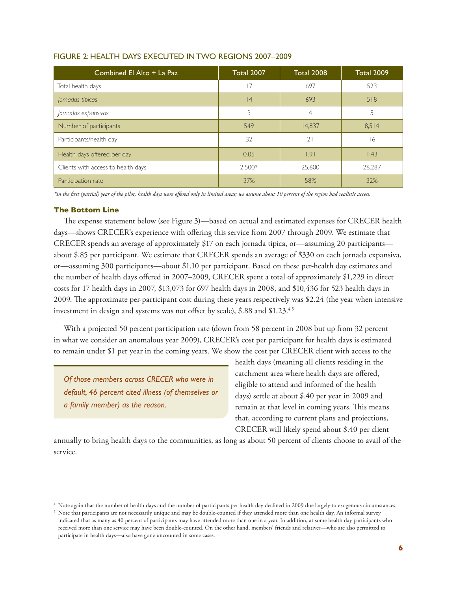| Combined El Alto + La Paz          | <b>Total 2007</b> | <b>Total 2008</b> | <b>Total 2009</b> |
|------------------------------------|-------------------|-------------------|-------------------|
| Total health days                  | 7                 | 697               | 523               |
| Jornadas tipicas                   | 4                 | 693               | 518               |
| Jornadas expansivas                | 3                 | 4                 | 5                 |
| Number of participants             | 549               | 14,837            | 8.514             |
| Participants/health day            | 32                | $\overline{2}$    | 16                |
| Health days offered per day        | 0.05              | 1.91              | 1.43              |
| Clients with access to health days | 2.500*            | 25,600            | 26,287            |
| Participation rate                 | 37%               | 58%               | 32%               |

#### FIGURE 2: HEALTH DAYS EXECUTED IN TWO REGIONS 2007–2009

*\*In the first (partial) year of the pilot, health days were offered only in limited areas; we assume about 10 percent of the region had realistic access.*

#### **The Bottom Line**

The expense statement below (see Figure 3)—based on actual and estimated expenses for CRECER health days—shows CRECER's experience with offering this service from 2007 through 2009. We estimate that CRECER spends an average of approximately \$17 on each jornada tipica, or—assuming 20 participants about \$.85 per participant. We estimate that CRECER spends an average of \$330 on each jornada expansiva, or—assuming 300 participants—about \$1.10 per participant. Based on these per-health day estimates and the number of health days offered in 2007–2009, CRECER spent a total of approximately \$1,229 in direct costs for 17 health days in 2007, \$13,073 for 697 health days in 2008, and \$10,436 for 523 health days in 2009. The approximate per-participant cost during these years respectively was \$2.24 (the year when intensive investment in design and systems was not offset by scale), \$.88 and \$1.23.<sup>45</sup>

With a projected 50 percent participation rate (down from 58 percent in 2008 but up from 32 percent in what we consider an anomalous year 2009), CRECER's cost per participant for health days is estimated to remain under \$1 per year in the coming years. We show the cost per CRECER client with access to the

*Of those members across CRECER who were in default, 46 percent cited illness (of themselves or a family member) as the reason.* 

health days (meaning all clients residing in the catchment area where health days are offered, eligible to attend and informed of the health days) settle at about \$.40 per year in 2009 and remain at that level in coming years. This means that, according to current plans and projections, CRECER will likely spend about \$.40 per client

annually to bring health days to the communities, as long as about 50 percent of clients choose to avail of the service.

<sup>4</sup> Note again that the number of health days and the number of participants per health day declined in 2009 due largely to exogenous circumstances.

<sup>&</sup>lt;sup>5</sup> Note that participants are not necessarily unique and may be double-counted if they attended more than one health day. An informal survey indicated that as many as 40 percent of participants may have attended more than one in a year. In addition, at some health day participants who received more than one service may have been double-counted. On the other hand, members' friends and relatives—who are also permitted to participate in health days—also have gone uncounted in some cases.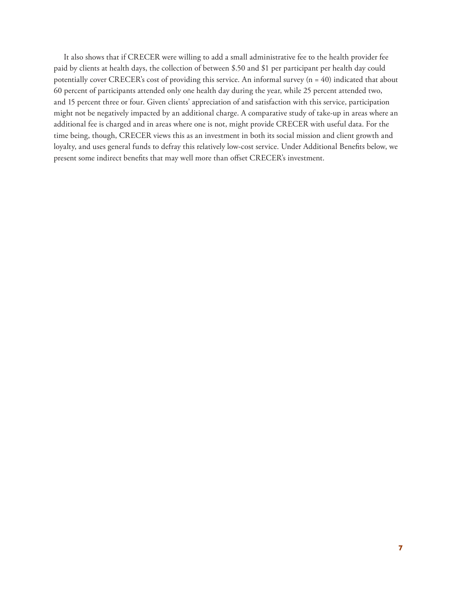It also shows that if CRECER were willing to add a small administrative fee to the health provider fee paid by clients at health days, the collection of between \$.50 and \$1 per participant per health day could potentially cover CRECER's cost of providing this service. An informal survey (n = 40) indicated that about 60 percent of participants attended only one health day during the year, while 25 percent attended two, and 15 percent three or four. Given clients' appreciation of and satisfaction with this service, participation might not be negatively impacted by an additional charge. A comparative study of take-up in areas where an additional fee is charged and in areas where one is not, might provide CRECER with useful data. For the time being, though, CRECER views this as an investment in both its social mission and client growth and loyalty, and uses general funds to defray this relatively low-cost service. Under Additional Benefits below, we present some indirect benefits that may well more than offset CRECER's investment.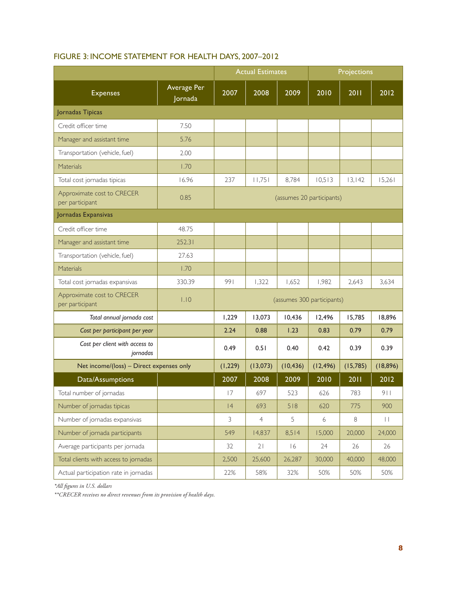|                                               |                        | <b>Actual Estimates</b>    |                |           | Projections               |           |                   |
|-----------------------------------------------|------------------------|----------------------------|----------------|-----------|---------------------------|-----------|-------------------|
| <b>Expenses</b>                               | Average Per<br>Jornada | 2007                       | 2008           | 2009      | 2010                      | 2011      | 2012              |
| Jornadas Tipicas                              |                        |                            |                |           |                           |           |                   |
| Credit officer time                           | 7.50                   |                            |                |           |                           |           |                   |
| Manager and assistant time                    | 5.76                   |                            |                |           |                           |           |                   |
| Transportation (vehicle, fuel)                | 2.00                   |                            |                |           |                           |           |                   |
| Materials                                     | 1.70                   |                            |                |           |                           |           |                   |
| Total cost jornadas tipicas                   | 16.96                  | 237                        | 11,751         | 8,784     | 10,513                    | 13,142    | 15,261            |
| Approximate cost to CRECER<br>per participant | 0.85                   |                            |                |           | (assumes 20 participants) |           |                   |
| Jornadas Expansivas                           |                        |                            |                |           |                           |           |                   |
| Credit officer time                           | 48.75                  |                            |                |           |                           |           |                   |
| Manager and assistant time                    | 252.31                 |                            |                |           |                           |           |                   |
| Transportation (vehicle, fuel)                | 27.63                  |                            |                |           |                           |           |                   |
| Materials                                     | 1.70                   |                            |                |           |                           |           |                   |
| Total cost jornadas expansivas                | 330.39                 | 991                        | 1,322          | 1,652     | 1,982                     | 2,643     | 3,634             |
| Approximate cost to CRECER<br>per participant | 1.10                   | (assumes 300 participants) |                |           |                           |           |                   |
| Total annual jornada cost                     |                        | 1,229                      | 13,073         | 10,436    | 12,496                    | 15,785    | 18,896            |
| Cost per participant per year                 |                        | 2.24                       | 0.88           | 1.23      | 0.83                      | 0.79      | 0.79              |
| Cost per client with access to<br>jornadas    |                        | 0.49                       | 0.51           | 0.40      | 0.42                      | 0.39      | 0.39              |
| Net income/(loss) - Direct expenses only      |                        | (1, 229)                   | (13,073)       | (10, 436) | (12, 496)                 | (15, 785) | (18, 896)         |
| Data/Assumptions                              |                        | 2007                       | 2008           | 2009      | 2010                      | 2011      | 2012              |
| Total number of jornadas                      |                        | 17                         | 697            | 523       | 626                       | 783       | 911               |
| Number of jornadas tipicas                    |                        | 4                          | 693            | 518       | 620                       | 775       | 900               |
| Number of jornadas expansivas                 |                        | 3                          | $\overline{4}$ | 5         | 6                         | $\, 8$    | $\mid \; \; \mid$ |
| Number of jornada participants                |                        | 549                        | 14,837         | 8,514     | 15,000                    | 20,000    | 24,000            |
| Average participants per jornada              |                        | 32                         | 21             | 16        | 24                        | 26        | 26                |
| Total clients with access to jornadas         |                        | 2,500                      | 25,600         | 26,287    | 30,000                    | 40,000    | 48,000            |
| Actual participation rate in jornadas         |                        | 22%                        | 58%            | 32%       | 50%                       | 50%       | 50%               |

## FIGURE 3: INCOME STATEMENT FOR HEALTH DAYS, 2007–2012

*\*All figures in U.S. dollars*

*\*\*CRECER receives no direct revenues from its provision of health days.*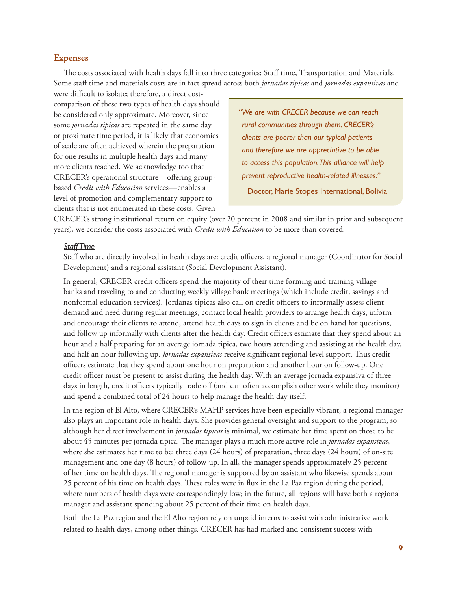## **Expenses**

The costs associated with health days fall into three categories: Staff time, Transportation and Materials. Some staff time and materials costs are in fact spread across both *jornadas tipicas* and *jornadas expansivas* and

were difficult to isolate; therefore, a direct costcomparison of these two types of health days should be considered only approximate. Moreover, since some *jornadas tipicas* are repeated in the same day or proximate time period, it is likely that economies of scale are often achieved wherein the preparation for one results in multiple health days and many more clients reached. We acknowledge too that CRECER's operational structure—offering groupbased *Credit with Education* services—enables a level of promotion and complementary support to clients that is not enumerated in these costs. Given

*"We are with CRECER because we can reach rural communities through them. CRECER's clients are poorer than our typical patients and therefore we are appreciative to be able to access this population. This alliance will help prevent reproductive health-related illnesses."*  −Doctor, Marie Stopes International, Bolivia

CRECER's strong institutional return on equity (over 20 percent in 2008 and similar in prior and subsequent years), we consider the costs associated with *Credit with Education* to be more than covered.

#### *Staff Time*

Staff who are directly involved in health days are: credit officers, a regional manager (Coordinator for Social Development) and a regional assistant (Social Development Assistant).

In general, CRECER credit officers spend the majority of their time forming and training village banks and traveling to and conducting weekly village bank meetings (which include credit, savings and nonformal education services). Jordanas tipicas also call on credit officers to informally assess client demand and need during regular meetings, contact local health providers to arrange health days, inform and encourage their clients to attend, attend health days to sign in clients and be on hand for questions, and follow up informally with clients after the health day. Credit officers estimate that they spend about an hour and a half preparing for an average jornada tipica, two hours attending and assisting at the health day, and half an hour following up. *Jornadas expansivas* receive significant regional-level support. Thus credit officers estimate that they spend about one hour on preparation and another hour on follow-up. One credit officer must be present to assist during the health day. With an average jornada expansiva of three days in length, credit officers typically trade off (and can often accomplish other work while they monitor) and spend a combined total of 24 hours to help manage the health day itself.

In the region of El Alto, where CRECER's MAHP services have been especially vibrant, a regional manager also plays an important role in health days. She provides general oversight and support to the program, so although her direct involvement in *jornadas tipicas* is minimal, we estimate her time spent on those to be about 45 minutes per jornada tipica. The manager plays a much more active role in *jornadas expansivas*, where she estimates her time to be: three days (24 hours) of preparation, three days (24 hours) of on-site management and one day (8 hours) of follow-up. In all, the manager spends approximately 25 percent of her time on health days. The regional manager is supported by an assistant who likewise spends about 25 percent of his time on health days. These roles were in flux in the La Paz region during the period, where numbers of health days were correspondingly low; in the future, all regions will have both a regional manager and assistant spending about 25 percent of their time on health days.

Both the La Paz region and the El Alto region rely on unpaid interns to assist with administrative work related to health days, among other things. CRECER has had marked and consistent success with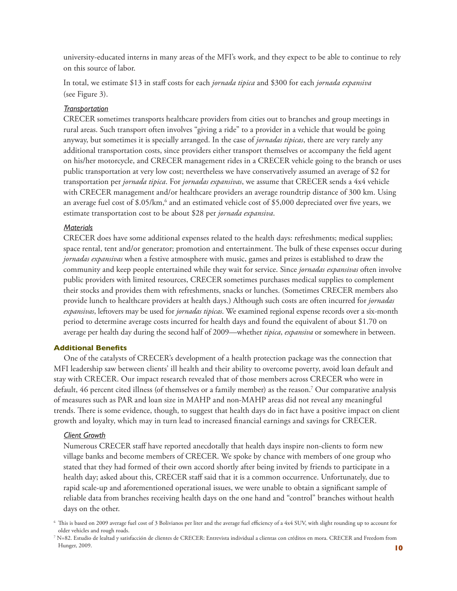university-educated interns in many areas of the MFI's work, and they expect to be able to continue to rely on this source of labor.

In total, we estimate \$13 in staff costs for each *jornada tipica* and \$300 for each *jornada expansiva* (see Figure 3).

## *Transportation*

CRECER sometimes transports healthcare providers from cities out to branches and group meetings in rural areas. Such transport often involves "giving a ride" to a provider in a vehicle that would be going anyway, but sometimes it is specially arranged. In the case of *jornadas tipicas*, there are very rarely any additional transportation costs, since providers either transport themselves or accompany the field agent on his/her motorcycle, and CRECER management rides in a CRECER vehicle going to the branch or uses public transportation at very low cost; nevertheless we have conservatively assumed an average of \$2 for transportation per *jornada tipica*. For *jornadas expansivas*, we assume that CRECER sends a 4x4 vehicle with CRECER management and/or healthcare providers an average roundtrip distance of 300 km. Using an average fuel cost of \$.05/km, $^6$  and an estimated vehicle cost of \$5,000 depreciated over five years, we estimate transportation cost to be about \$28 per *jornada expansiva*.

#### *Materials*

CRECER does have some additional expenses related to the health days: refreshments; medical supplies; space rental, tent and/or generator; promotion and entertainment. The bulk of these expenses occur during *jornadas expansivas* when a festive atmosphere with music, games and prizes is established to draw the community and keep people entertained while they wait for service. Since *jornadas expansivas* often involve public providers with limited resources, CRECER sometimes purchases medical supplies to complement their stocks and provides them with refreshments, snacks or lunches. (Sometimes CRECER members also provide lunch to healthcare providers at health days.) Although such costs are often incurred for *jornadas expansivas*, leftovers may be used for *jornadas tipicas*. We examined regional expense records over a six-month period to determine average costs incurred for health days and found the equivalent of about \$1.70 on average per health day during the second half of 2009—whether *tipica*, *expansiva* or somewhere in between.

#### **Additional Benefits**

One of the catalysts of CRECER's development of a health protection package was the connection that MFI leadership saw between clients' ill health and their ability to overcome poverty, avoid loan default and stay with CRECER. Our impact research revealed that of those members across CRECER who were in default, 46 percent cited illness (of themselves or a family member) as the reason.7 Our comparative analysis of measures such as PAR and loan size in MAHP and non-MAHP areas did not reveal any meaningful trends. There is some evidence, though, to suggest that health days do in fact have a positive impact on client growth and loyalty, which may in turn lead to increased financial earnings and savings for CRECER.

#### *Client Growth*

Numerous CRECER staff have reported anecdotally that health days inspire non-clients to form new village banks and become members of CRECER. We spoke by chance with members of one group who stated that they had formed of their own accord shortly after being invited by friends to participate in a health day; asked about this, CRECER staff said that it is a common occurrence. Unfortunately, due to rapid scale-up and aforementioned operational issues, we were unable to obtain a significant sample of reliable data from branches receiving health days on the one hand and "control" branches without health days on the other.

 $6$  This is based on 2009 average fuel cost of 3 Bolivianos per liter and the average fuel efficiency of a 4x4 SUV, with slight rounding up to account for older vehicles and rough roads.

<sup>7</sup> N=82. Estudio de lealtad y satisfacción de clientes de CRECER: Entrevista individual a clientas con créditos en mora. CRECER and Freedom from Hunger, 2009.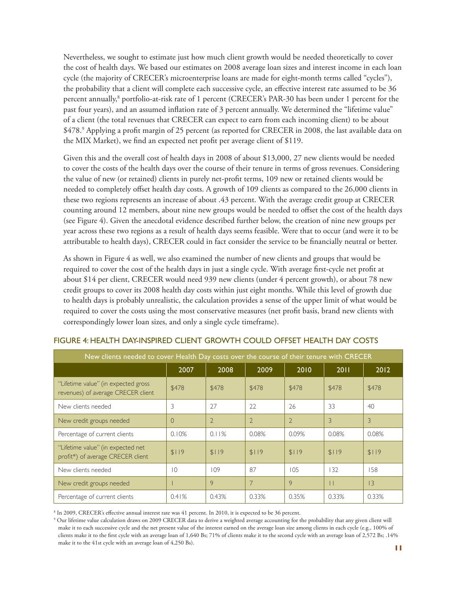Nevertheless, we sought to estimate just how much client growth would be needed theoretically to cover the cost of health days. We based our estimates on 2008 average loan sizes and interest income in each loan cycle (the majority of CRECER's microenterprise loans are made for eight-month terms called "cycles"), the probability that a client will complete each successive cycle, an effective interest rate assumed to be 36 percent annually,<sup>8</sup> portfolio-at-risk rate of 1 percent (CRECER's PAR-30 has been under 1 percent for the past four years), and an assumed inflation rate of 3 percent annually. We determined the "lifetime value" of a client (the total revenues that CRECER can expect to earn from each incoming client) to be about \$478.<sup>9</sup> Applying a profit margin of 25 percent (as reported for CRECER in 2008, the last available data on the MIX Market), we find an expected net profit per average client of \$119.

Given this and the overall cost of health days in 2008 of about \$13,000, 27 new clients would be needed to cover the costs of the health days over the course of their tenure in terms of gross revenues. Considering the value of new (or retained) clients in purely net-profit terms, 109 new or retained clients would be needed to completely offset health day costs. A growth of 109 clients as compared to the 26,000 clients in these two regions represents an increase of about .43 percent. With the average credit group at CRECER counting around 12 members, about nine new groups would be needed to offset the cost of the health days (see Figure 4). Given the anecdotal evidence described further below, the creation of nine new groups per year across these two regions as a result of health days seems feasible. Were that to occur (and were it to be attributable to health days), CRECER could in fact consider the service to be financially neutral or better.

As shown in Figure 4 as well, we also examined the number of new clients and groups that would be required to cover the cost of the health days in just a single cycle. With average first-cycle net profit at about \$14 per client, CRECER would need 939 new clients (under 4 percent growth), or about 78 new credit groups to cover its 2008 health day costs within just eight months. While this level of growth due to health days is probably unrealistic, the calculation provides a sense of the upper limit of what would be required to cover the costs using the most conservative measures (net profit basis, brand new clients with correspondingly lower loan sizes, and only a single cycle timeframe).

| New clients needed to cover Health Day costs over the course of their tenure with CRECER |                |                |                |                |       |       |
|------------------------------------------------------------------------------------------|----------------|----------------|----------------|----------------|-------|-------|
|                                                                                          | 2007           | 2008           | 2009           | 2010           | 2011  | 2012  |
| "Lifetime value" (in expected gross<br>revenues) of average CRECER client                | \$478          | \$478          | \$478          | \$478          | \$478 | \$478 |
| New clients needed                                                                       | 3              | 27             | 22             | 26             | 33    | 40    |
| New credit groups needed                                                                 | $\Omega$       | $\overline{2}$ | $\overline{2}$ | $\overline{2}$ | 3     | 3     |
| Percentage of current clients                                                            | 0.10%          | 0.11%          | 0.08%          | 0.09%          | 0.08% | 0.08% |
| "Lifetime value" (in expected net<br>profit*) of average CRECER client                   | \$119          | \$119          | \$119          | \$119          | \$119 | \$119 |
| New clients needed                                                                       | $\overline{0}$ | 109            | 87             | 105            | 132   | 158   |
| New credit groups needed                                                                 |                | 9              | 7              | 9              | П     | 13    |
| Percentage of current clients                                                            | 0.41%          | 0.43%          | 0.33%          | 0.35%          | 0.33% | 0.33% |

## FIGURE 4: HEALTH DAY-INSPIRED CLIENT GROWTH COULD OFFSET HEALTH DAY COSTS

8 In 2009, CRECER's effective annual interest rate was 41 percent. In 2010, it is expected to be 36 percent.

9 Our lifetime value calculation draws on 2009 CRECER data to derive a weighted average accounting for the probability that any given client will make it to each successive cycle and the net present value of the interest earned on the average loan size among clients in each cycle (e.g., 100% of clients make it to the first cycle with an average loan of 1,640 Bs; 71% of clients make it to the second cycle with an average loan of 2,572 Bs; .14% make it to the 41st cycle with an average loan of 4,250 Bs).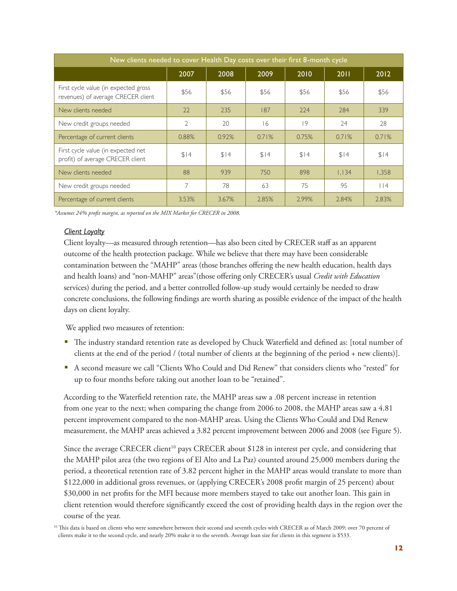| New clients needed to cover Health Day costs over their first 8-month cycle |                |       |       |       |       |       |
|-----------------------------------------------------------------------------|----------------|-------|-------|-------|-------|-------|
|                                                                             | 2007           | 2008  | 2009  | 2010  | 2011  | 2012  |
| First cycle value (in expected gross<br>revenues) of average CRECER client  | \$56           | \$56  | \$56  | \$56  | \$56  | \$56  |
| New clients needed                                                          | 22             | 235   | 187   | 224   | 284   | 339   |
| New credit groups needed                                                    | $\overline{2}$ | 20    | 16    | 9     | 24    | 28    |
| Percentage of current clients                                               | 0.88%          | 0.92% | 0.71% | 0.75% | 0.71% | 0.71% |
| First cycle value (in expected net<br>profit) of average CRECER client      | \$14           | \$14  | \$14  | \$14  | \$14  | \$14  |
| New clients needed                                                          | 88             | 939   | 750   | 898   | 1.134 | 1,358 |
| New credit groups needed                                                    | 7              | 78    | 63    | 75    | 95    | l 14  |
| Percentage of current clients                                               | 3.53%          | 3.67% | 2.85% | 2.99% | 2.84% | 2.83% |

*\*Assumes 24% profit margin, as reported on the MIX Market for CRECER in 2008.*

#### *Client Loyalty*

Client loyalty—as measured through retention—has also been cited by CRECER staff as an apparent outcome of the health protection package. While we believe that there may have been considerable contamination between the "MAHP" areas (those branches offering the new health education, health days and health loans) and "non-MAHP" areas"(those offering only CRECER's usual *Credit with Education* services) during the period, and a better controlled follow-up study would certainly be needed to draw concrete conclusions, the following findings are worth sharing as possible evidence of the impact of the health days on client loyalty.

We applied two measures of retention:

- The industry standard retention rate as developed by Chuck Waterfield and defined as: [total number of clients at the end of the period / (total number of clients at the beginning of the period + new clients)].
- A second measure we call "Clients Who Could and Did Renew" that considers clients who "rested" for up to four months before taking out another loan to be "retained".

According to the Waterfield retention rate, the MAHP areas saw a .08 percent increase in retention from one year to the next; when comparing the change from 2006 to 2008, the MAHP areas saw a 4.81 percent improvement compared to the non-MAHP areas. Using the Clients Who Could and Did Renew measurement, the MAHP areas achieved a 3.82 percent improvement between 2006 and 2008 (see Figure 5).

Since the average CRECER client<sup>10</sup> pays CRECER about \$128 in interest per cycle, and considering that the MAHP pilot area (the two regions of El Alto and La Paz) counted around 25,000 members during the period, a theoretical retention rate of 3.82 percent higher in the MAHP areas would translate to more than \$122,000 in additional gross revenues, or (applying CRECER's 2008 profit margin of 25 percent) about \$30,000 in net profits for the MFI because more members stayed to take out another loan. This gain in client retention would therefore significantly exceed the cost of providing health days in the region over the course of the year.

<sup>&</sup>lt;sup>10</sup> This data is based on clients who were somewhere between their second and seventh cycles with CRECER as of March 2009; over 70 percent of clients make it to the second cycle, and nearly 20% make it to the seventh. Average loan size for clients in this segment is \$533.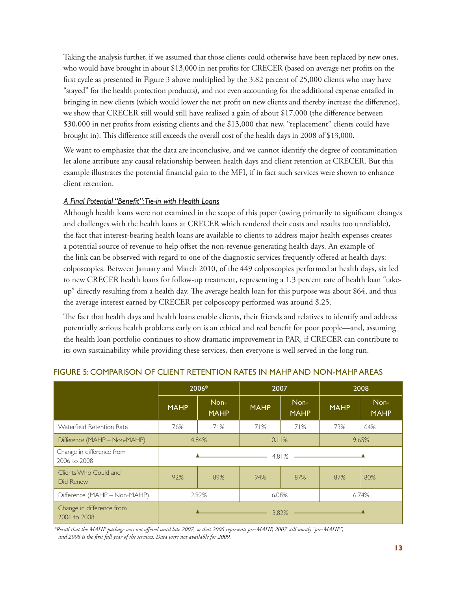Taking the analysis further, if we assumed that those clients could otherwise have been replaced by new ones, who would have brought in about \$13,000 in net profits for CRECER (based on average net profits on the first cycle as presented in Figure 3 above multiplied by the 3.82 percent of 25,000 clients who may have "stayed" for the health protection products), and not even accounting for the additional expense entailed in bringing in new clients (which would lower the net profit on new clients and thereby increase the difference), we show that CRECER still would still have realized a gain of about \$17,000 (the difference between \$30,000 in net profits from existing clients and the \$13,000 that new, "replacement" clients could have brought in). This difference still exceeds the overall cost of the health days in 2008 of \$13,000.

We want to emphasize that the data are inconclusive, and we cannot identify the degree of contamination let alone attribute any causal relationship between health days and client retention at CRECER. But this example illustrates the potential financial gain to the MFI, if in fact such services were shown to enhance client retention.

## *A Final Potential "Benefit": Tie-in with Health Loans*

Although health loans were not examined in the scope of this paper (owing primarily to significant changes and challenges with the health loans at CRECER which rendered their costs and results too unreliable), the fact that interest-bearing health loans are available to clients to address major health expenses creates a potential source of revenue to help offset the non-revenue-generating health days. An example of the link can be observed with regard to one of the diagnostic services frequently offered at health days: colposcopies. Between January and March 2010, of the 449 colposcopies performed at health days, six led to new CRECER health loans for follow-up treatment, representing a 1.3 percent rate of health loan "takeup" directly resulting from a health day. The average health loan for this purpose was about \$64, and thus the average interest earned by CRECER per colposcopy performed was around \$.25.

The fact that health days and health loans enable clients, their friends and relatives to identify and address potentially serious health problems early on is an ethical and real benefit for poor people—and, assuming the health loan portfolio continues to show dramatic improvement in PAR, if CRECER can contribute to its own sustainability while providing these services, then everyone is well served in the long run.

|                                           | 2006*<br>2007              |                     | 2008        |                     |             |                     |
|-------------------------------------------|----------------------------|---------------------|-------------|---------------------|-------------|---------------------|
|                                           | <b>MAHP</b>                | Non-<br><b>MAHP</b> | <b>MAHP</b> | Non-<br><b>MAHP</b> | <b>MAHP</b> | Non-<br><b>MAHP</b> |
| Waterfield Retention Rate                 | 76%                        | 71%                 | 71%         | 71%                 | 73%         | 64%                 |
| Difference (MAHP - Non-MAHP)              | 4.84%                      |                     | 0.11%       |                     | 9.65%       |                     |
| Change in difference from<br>2006 to 2008 | $4.81\%$ $\longrightarrow$ |                     |             |                     |             |                     |
| Clients Who Could and<br>Did Renew        | 92%                        | 89%                 | 94%         | 87%                 | 87%         | 80%                 |
| Difference (MAHP - Non-MAHP)              | 2.92%                      |                     | 6.08%       |                     | 6.74%       |                     |
| Change in difference from<br>2006 to 2008 |                            |                     | 3.82%       |                     |             |                     |

## FIGURE 5: COMPARISON OF CLIENT RETENTION RATES IN MAHP AND NON-MAHP AREAS

*\*Recall that the MAHP package was not offered until late 2007, so that 2006 represents pre-MAHP, 2007 still mostly "pre-MAHP", and 2008 is the first full year of the services. Data were not available for 2009.*